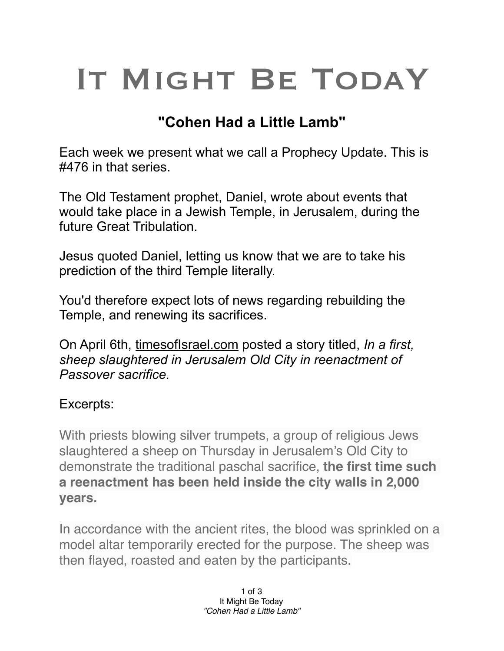## IT MIGHT BE TODAY

## **"Cohen Had a Little Lamb"**

Each week we present what we call a Prophecy Update. This is #476 in that series.

The Old Testament prophet, Daniel, wrote about events that would take place in a Jewish Temple, in Jerusalem, during the future Great Tribulation.

Jesus quoted Daniel, letting us know that we are to take his prediction of the third Temple literally.

You'd therefore expect lots of news regarding rebuilding the Temple, and renewing its sacrifices.

On April 6th, [timesofIsrael.com](http://timesofIsrael.com) posted a story titled, *In a first, sheep slaughtered in Jerusalem Old City in reenactment of Passover sacrifice.*

## Excerpts:

With priests blowing silver trumpets, a group of religious Jews slaughtered a sheep on Thursday in Jerusalem's Old City to demonstrate the traditional paschal sacrifice, **the first time such a reenactment has been held inside the city walls in 2,000 years.**

In accordance with the ancient rites, the blood was sprinkled on a model altar temporarily erected for the purpose. The sheep was then flayed, roasted and eaten by the participants.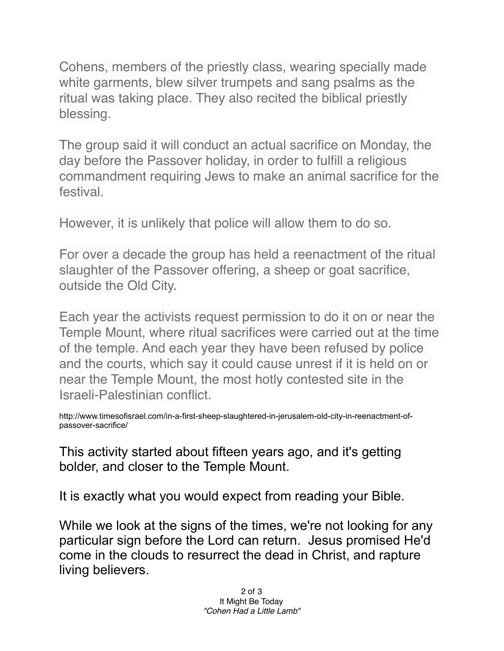Cohens, members of the priestly class, wearing specially made white garments, blew silver trumpets and sang psalms as the ritual was taking place. They also recited the biblical priestly blessing.

The group said it will conduct an actual sacrifice on Monday, the day before the Passover holiday, in order to fulfill a religious commandment requiring Jews to make an animal sacrifice for the festival.

However, it is unlikely that police will allow them to do so.

For over a decade the group has held a reenactment of the ritual slaughter of the Passover offering, a sheep or goat sacrifice, outside the Old City.

Each year the activists request permission to do it on or near the Temple Mount, where ritual sacrifices were carried out at the time of the temple. And each year they have been refused by police and the courts, which say it could cause unrest if it is held on or near the Temple Mount, the most hotly contested site in the Israeli-Palestinian conflict.

http://www.timesofisrael.com/in-a-first-sheep-slaughtered-in-jerusalem-old-city-in-reenactment-ofpassover-sacrifice/

This activity started about fifteen years ago, and it's getting bolder, and closer to the Temple Mount.

It is exactly what you would expect from reading your Bible.

While we look at the signs of the times, we're not looking for any particular sign before the Lord can return. Jesus promised He'd come in the clouds to resurrect the dead in Christ, and rapture living believers.